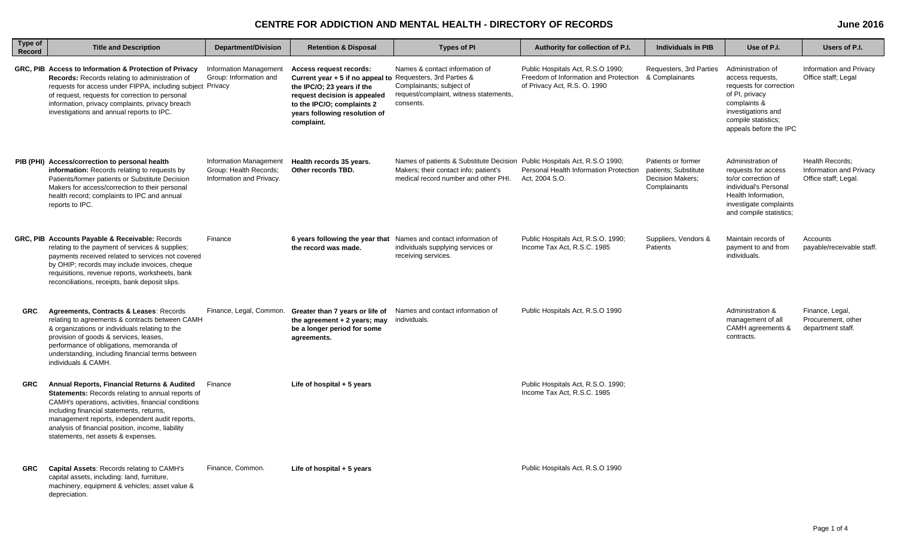## **CENTRE FOR ADDICTION AND MENTAL HEALTH - DIRECTORY OF RECORDS**

| Type of<br>Record | <b>Title and Description</b>                                                                                                                                                                                                                                                                                                                            | <b>Department/Division</b>                                                          | <b>Retention &amp; Disposal</b>                                                                                                                                                                                                  | <b>Types of PI</b>                                                                                                                                         | Authority for collection of P.I.                                                                                          | <b>Individuals in PIB</b>                                                             | Use of P.I.                                                                                                                                                               | Users of P.I.                                                      |
|-------------------|---------------------------------------------------------------------------------------------------------------------------------------------------------------------------------------------------------------------------------------------------------------------------------------------------------------------------------------------------------|-------------------------------------------------------------------------------------|----------------------------------------------------------------------------------------------------------------------------------------------------------------------------------------------------------------------------------|------------------------------------------------------------------------------------------------------------------------------------------------------------|---------------------------------------------------------------------------------------------------------------------------|---------------------------------------------------------------------------------------|---------------------------------------------------------------------------------------------------------------------------------------------------------------------------|--------------------------------------------------------------------|
|                   | GRC, PIB Access to Information & Protection of Privacy<br>Records: Records relating to administration of<br>requests for access under FIPPA, including subject Privacy<br>of request, requests for correction to personal<br>information, privacy complaints, privacy breach<br>investigations and annual reports to IPC.                               | <b>Information Management</b><br>Group: Information and                             | Access request records:<br>Current year + 5 if no appeal to Requesters, 3rd Parties &<br>the IPC/O; 23 years if the<br>request decision is appealed<br>to the IPC/O; complaints 2<br>years following resolution of<br>complaint. | Names & contact information of<br>Complainants; subject of<br>request/complaint, witness statements,<br>consents.                                          | Public Hospitals Act, R.S.O 1990;<br>Freedom of Information and Protection & Complainants<br>of Privacy Act, R.S. O. 1990 | Requesters, 3rd Parties                                                               | Administration of<br>access requests,<br>requests for correction<br>of PI, privacy<br>complaints &<br>investigations and<br>compile statistics;<br>appeals before the IPC | Information and Privacy<br>Office staff; Legal                     |
|                   | PIB (PHI) Access/correction to personal health<br>information: Records relating to requests by<br>Patients/former patients or Substitute Decision<br>Makers for access/correction to their personal<br>health record; complaints to IPC and annual<br>reports to IPC.                                                                                   | <b>Information Management</b><br>Group: Health Records;<br>Information and Privacy. | Health records 35 years.<br>Other records TBD.                                                                                                                                                                                   | Names of patients & Substitute Decision Public Hospitals Act, R.S.O 1990;<br>Makers; their contact info; patient's<br>medical record number and other PHI. | Personal Health Information Protection<br>Act, 2004 S.O.                                                                  | Patients or former<br>patients: Substitute<br><b>Decision Makers:</b><br>Complainants | Administration of<br>requests for access<br>to/or correction of<br>individual's Personal<br>Health Information,<br>investigate complaints<br>and compile statistics;      | Health Records:<br>Information and Privacy<br>Office staff; Legal. |
|                   | GRC, PIB Accounts Payable & Receivable: Records<br>relating to the payment of services & supplies;<br>payments received related to services not covered<br>by OHIP; records may include invoices, cheque<br>requisitions, revenue reports, worksheets, bank<br>reconciliations, receipts, bank deposit slips.                                           | Finance                                                                             | the record was made.                                                                                                                                                                                                             | 6 years following the year that Names and contact information of<br>individuals supplying services or<br>receiving services.                               | Public Hospitals Act, R.S.O. 1990;<br>Income Tax Act. R.S.C. 1985                                                         | Suppliers, Vendors &<br>Patients                                                      | Maintain records of<br>payment to and from<br>individuals.                                                                                                                | Accounts<br>payable/receivable staff.                              |
| <b>GRC</b>        | Agreements, Contracts & Leases: Records<br>relating to agreements & contracts between CAMH<br>& organizations or individuals relating to the<br>provision of goods & services, leases,<br>performance of obligations, memoranda of<br>understanding, including financial terms between<br>individuals & CAMH.                                           | Finance, Legal, Common.                                                             | Greater than 7 years or life of<br>the agreement $+2$ years; may<br>be a longer period for some<br>agreements.                                                                                                                   | Names and contact information of<br>individuals.                                                                                                           | Public Hospitals Act, R.S.O 1990                                                                                          |                                                                                       | Administration &<br>management of all<br>CAMH agreements &<br>contracts.                                                                                                  | Finance, Legal,<br>Procurement, other<br>department staff.         |
| <b>GRC</b>        | Annual Reports, Financial Returns & Audited<br><b>Statements:</b> Records relating to annual reports of<br>CAMH's operations, activities, financial conditions<br>including financial statements, returns,<br>management reports, independent audit reports,<br>analysis of financial position, income, liability<br>statements, net assets & expenses. | Finance                                                                             | Life of hospital $+5$ years                                                                                                                                                                                                      |                                                                                                                                                            | Public Hospitals Act, R.S.O. 1990;<br>Income Tax Act, R.S.C. 1985                                                         |                                                                                       |                                                                                                                                                                           |                                                                    |
| <b>GRC</b>        | Capital Assets: Records relating to CAMH's<br>capital assets, including: land, furniture,<br>machinery, equipment & vehicles; asset value &<br>depreciation.                                                                                                                                                                                            | Finance, Common.                                                                    | Life of hospital $+5$ years                                                                                                                                                                                                      |                                                                                                                                                            | Public Hospitals Act, R.S.O 1990                                                                                          |                                                                                       |                                                                                                                                                                           |                                                                    |

**June 2016**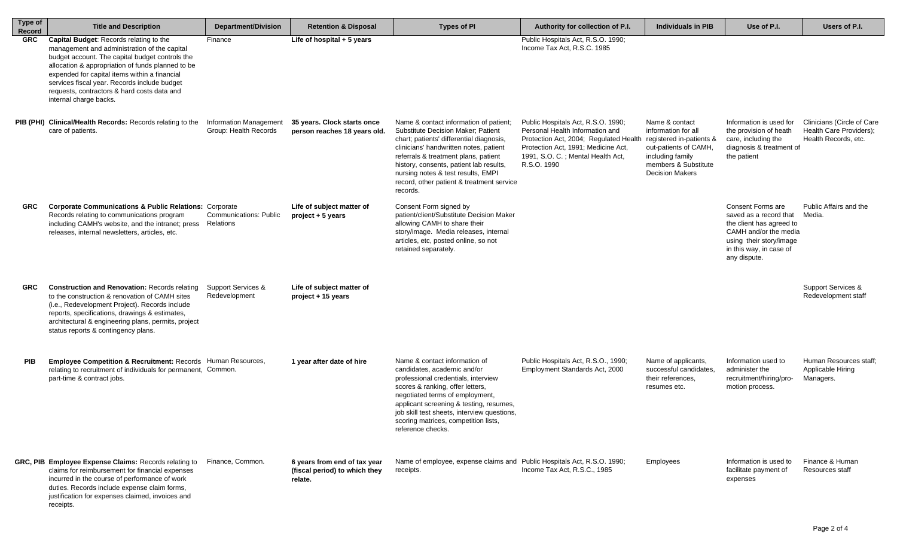| <b>Type of</b><br>Record | <b>Title and Description</b>                                                                                                                                                                                                                                                                                                                                                     | <b>Department/Division</b>                             | <b>Retention &amp; Disposal</b>                                          | <b>Types of PI</b>                                                                                                                                                                                                                                                                                                                                          | Authority for collection of P.I.                                                                                                                                                                                                    | <b>Individuals in PIB</b>                                                                                                            | Use of P.I.                                                                                                                                                                   | Users of P.I.                                                                 |
|--------------------------|----------------------------------------------------------------------------------------------------------------------------------------------------------------------------------------------------------------------------------------------------------------------------------------------------------------------------------------------------------------------------------|--------------------------------------------------------|--------------------------------------------------------------------------|-------------------------------------------------------------------------------------------------------------------------------------------------------------------------------------------------------------------------------------------------------------------------------------------------------------------------------------------------------------|-------------------------------------------------------------------------------------------------------------------------------------------------------------------------------------------------------------------------------------|--------------------------------------------------------------------------------------------------------------------------------------|-------------------------------------------------------------------------------------------------------------------------------------------------------------------------------|-------------------------------------------------------------------------------|
| <b>GRC</b>               | <b>Capital Budget:</b> Records relating to the<br>management and administration of the capital<br>budget account. The capital budget controls the<br>allocation & appropriation of funds planned to be<br>expended for capital items within a financial<br>services fiscal year. Records include budget<br>requests, contractors & hard costs data and<br>internal charge backs. | Finance                                                | Life of hospital $+5$ years                                              |                                                                                                                                                                                                                                                                                                                                                             | Public Hospitals Act, R.S.O. 1990;<br>Income Tax Act. R.S.C. 1985                                                                                                                                                                   |                                                                                                                                      |                                                                                                                                                                               |                                                                               |
|                          | <b>PIB (PHI) Clinical/Health Records: Records relating to the</b><br>care of patients.                                                                                                                                                                                                                                                                                           | <b>Information Management</b><br>Group: Health Records | 35 years. Clock starts once<br>person reaches 18 years old.              | Name & contact information of patient;<br><b>Substitute Decision Maker; Patient</b><br>chart; patients' differential diagnosis,<br>clinicians' handwritten notes, patient<br>referrals & treatment plans, patient<br>history, consents, patient lab results,<br>nursing notes & test results, EMPI<br>record, other patient & treatment service<br>records. | Public Hospitals Act, R.S.O. 1990;<br>Personal Health Information and<br>Protection Act, 2004; Regulated Health registered in-patients &<br>Protection Act, 1991; Medicine Act,<br>1991, S.O. C.; Mental Health Act,<br>R.S.O. 1990 | Name & contact<br>information for all<br>out-patients of CAMH,<br>including family<br>members & Substitute<br><b>Decision Makers</b> | Information is used for<br>the provision of heath<br>care, including the<br>diagnosis & treatment of<br>the patient                                                           | Clinicians (Circle of Care<br>Health Care Providers);<br>Health Records, etc. |
| <b>GRC</b>               | <b>Corporate Communications &amp; Public Relations: Corporate</b><br>Records relating to communications program<br>including CAMH's website, and the intranet; press<br>releases, internal newsletters, articles, etc.                                                                                                                                                           | <b>Communications: Public</b><br>Relations             | Life of subject matter of<br>$project + 5 years$                         | Consent Form signed by<br>patient/client/Substitute Decision Maker<br>allowing CAMH to share their<br>story/image. Media releases, internal<br>articles, etc, posted online, so not<br>retained separately.                                                                                                                                                 |                                                                                                                                                                                                                                     |                                                                                                                                      | <b>Consent Forms are</b><br>saved as a record that<br>the client has agreed to<br>CAMH and/or the media<br>using their story/image<br>in this way, in case of<br>any dispute. | Public Affairs and the<br>Media.                                              |
| <b>GRC</b>               | <b>Construction and Renovation: Records relating</b><br>to the construction & renovation of CAMH sites<br>(i.e., Redevelopment Project). Records include<br>reports, specifications, drawings & estimates,<br>architectural & engineering plans, permits, project<br>status reports & contingency plans.                                                                         | Support Services &<br>Redevelopment                    | Life of subject matter of<br>project + 15 years                          |                                                                                                                                                                                                                                                                                                                                                             |                                                                                                                                                                                                                                     |                                                                                                                                      |                                                                                                                                                                               | Support Services &<br>Redevelopment staff                                     |
| <b>PIB</b>               | Employee Competition & Recruitment: Records Human Resources,<br>relating to recruitment of individuals for permanent, Common.<br>part-time & contract jobs.                                                                                                                                                                                                                      |                                                        | 1 year after date of hire                                                | Name & contact information of<br>candidates, academic and/or<br>professional credentials, interview<br>scores & ranking, offer letters,<br>negotiated terms of employment,<br>applicant screening & testing, resumes,<br>job skill test sheets, interview questions,<br>scoring matrices, competition lists,<br>reference checks.                           | Public Hospitals Act, R.S.O., 1990;<br>Employment Standards Act, 2000                                                                                                                                                               | Name of applicants,<br>successful candidates.<br>their references.<br>resumes etc.                                                   | Information used to<br>administer the<br>recruitment/hiring/pro-<br>motion process.                                                                                           | Human Resources staff;<br>Applicable Hiring<br>Managers.                      |
|                          | GRC, PIB Employee Expense Claims: Records relating to<br>claims for reimbursement for financial expenses<br>incurred in the course of performance of work<br>duties. Records include expense claim forms,<br>justification for expenses claimed, invoices and<br>receipts.                                                                                                       | Finance, Common.                                       | 6 years from end of tax year<br>(fiscal period) to which they<br>relate. | Name of employee, expense claims and Public Hospitals Act, R.S.O. 1990;<br>receipts.                                                                                                                                                                                                                                                                        | Income Tax Act, R.S.C., 1985                                                                                                                                                                                                        | Employees                                                                                                                            | Information is used to<br>facilitate payment of<br>expenses                                                                                                                   | Finance & Human<br>Resources staff                                            |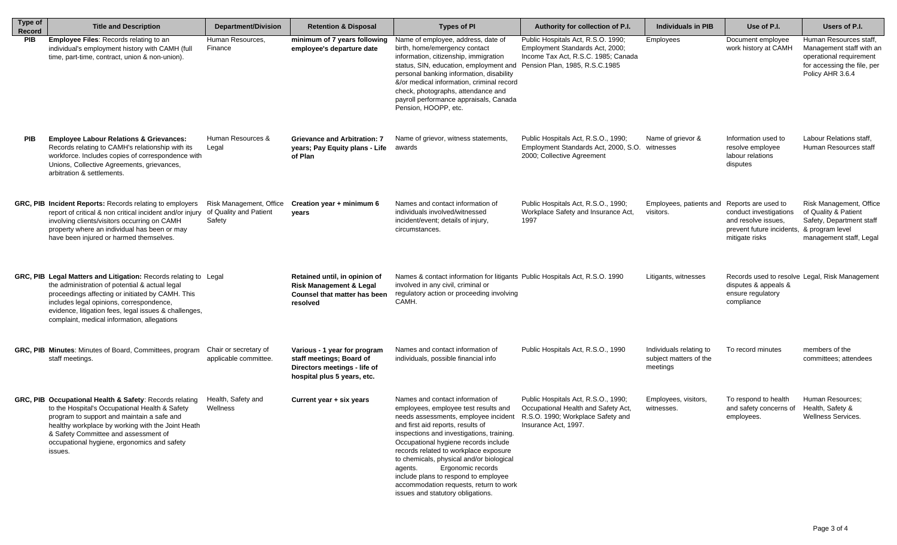| Type of<br><b>Record</b> | <b>Title and Description</b>                                                                                                                                                                                                                                                                                               | <b>Department/Division</b>                                  | <b>Retention &amp; Disposal</b>                                                                                         | <b>Types of PI</b>                                                                                                                                                                                                                                                                                                                                                                                                                                                                                                       | Authority for collection of P.I.                                                                                                               | <b>Individuals in PIB</b>                                     | Use of P.I.                                                                                  | Users of P.I.                                                                                                                    |
|--------------------------|----------------------------------------------------------------------------------------------------------------------------------------------------------------------------------------------------------------------------------------------------------------------------------------------------------------------------|-------------------------------------------------------------|-------------------------------------------------------------------------------------------------------------------------|--------------------------------------------------------------------------------------------------------------------------------------------------------------------------------------------------------------------------------------------------------------------------------------------------------------------------------------------------------------------------------------------------------------------------------------------------------------------------------------------------------------------------|------------------------------------------------------------------------------------------------------------------------------------------------|---------------------------------------------------------------|----------------------------------------------------------------------------------------------|----------------------------------------------------------------------------------------------------------------------------------|
| <b>PIB</b>               | <b>Employee Files: Records relating to an</b><br>individual's employment history with CAMH (full<br>time, part-time, contract, union & non-union).                                                                                                                                                                         | Human Resources,<br>Finance                                 | minimum of 7 years following<br>employee's departure date                                                               | Name of employee, address, date of<br>birth, home/emergency contact<br>information, citizenship, immigration<br>status, SIN, education, employment and<br>personal banking information, disability<br>&/or medical information, criminal record<br>check, photographs, attendance and<br>payroll performance appraisals, Canada<br>Pension, HOOPP, etc.                                                                                                                                                                  | Public Hospitals Act, R.S.O. 1990;<br>Employment Standards Act, 2000;<br>Income Tax Act, R.S.C. 1985; Canada<br>Pension Plan, 1985, R.S.C.1985 | Employees                                                     | Document employee<br>work history at CAMH                                                    | Human Resources staff,<br>Management staff with an<br>operational requirement<br>for accessing the file, per<br>Policy AHR 3.6.4 |
| <b>PIB</b>               | <b>Employee Labour Relations &amp; Grievances:</b><br>Records relating to CAMH's relationship with its<br>workforce. Includes copies of correspondence with<br>Unions, Collective Agreements, grievances,<br>arbitration & settlements.                                                                                    | Human Resources &<br>Legal                                  | <b>Grievance and Arbitration: 7</b><br>years; Pay Equity plans - Life<br>of Plan                                        | Name of grievor, witness statements,<br>awards                                                                                                                                                                                                                                                                                                                                                                                                                                                                           | Public Hospitals Act, R.S.O., 1990;<br>Employment Standards Act, 2000, S.O. witnesses<br>2000; Collective Agreement                            | Name of grievor &                                             | Information used to<br>resolve employee<br>labour relations<br>disputes                      | Labour Relations staff,<br>Human Resources staff                                                                                 |
|                          | GRC, PIB Incident Reports: Records relating to employers<br>report of critical & non critical incident and/or injury<br>involving clients/visitors occurring on CAMH<br>property where an individual has been or may<br>have been injured or harmed themselves.                                                            | Risk Management, Office<br>of Quality and Patient<br>Safety | Creation year + minimum 6<br>years                                                                                      | Names and contact information of<br>individuals involved/witnessed<br>incident/event; details of injury,<br>circumstances.                                                                                                                                                                                                                                                                                                                                                                                               | Public Hospitals Act, R.S.O., 1990;<br>Workplace Safety and Insurance Act,<br>1997                                                             | Employees, patients and Reports are used to<br>visitors.      | conduct investigations<br>and resolve issues.<br>prevent future incidents,<br>mitigate risks | Risk Management, Office<br>of Quality & Patient<br>Safety, Department staff<br>& program level<br>management staff, Legal        |
|                          | GRC, PIB Legal Matters and Litigation: Records relating to Legal<br>the administration of potential & actual legal<br>proceedings affecting or initiated by CAMH. This<br>includes legal opinions, correspondence,<br>evidence, litigation fees, legal issues & challenges,<br>complaint, medical information, allegations |                                                             | Retained until, in opinion of<br><b>Risk Management &amp; Legal</b><br>Counsel that matter has been<br>resolved         | Names & contact information for litigants Public Hospitals Act, R.S.O. 1990<br>involved in any civil, criminal or<br>regulatory action or proceeding involving<br>CAMH.                                                                                                                                                                                                                                                                                                                                                  |                                                                                                                                                | Litigants, witnesses                                          | disputes & appeals &<br>ensure regulatory<br>compliance                                      | Records used to resolve Legal, Risk Management                                                                                   |
|                          | GRC, PIB Minutes: Minutes of Board, Committees, program<br>staff meetings.                                                                                                                                                                                                                                                 | Chair or secretary of<br>applicable committee.              | Various - 1 year for program<br>staff meetings; Board of<br>Directors meetings - life of<br>hospital plus 5 years, etc. | Names and contact information of<br>individuals, possible financial info                                                                                                                                                                                                                                                                                                                                                                                                                                                 | Public Hospitals Act, R.S.O., 1990                                                                                                             | Individuals relating to<br>subject matters of the<br>meetings | To record minutes                                                                            | members of the<br>committees; attendees                                                                                          |
|                          | GRC, PIB Occupational Health & Safety: Records relating<br>to the Hospital's Occupational Health & Safety<br>program to support and maintain a safe and<br>healthy workplace by working with the Joint Heath<br>& Safety Committee and assessment of<br>occupational hygiene, ergonomics and safety<br>issues.             | Health, Safety and<br>Wellness                              | Current year + six years                                                                                                | Names and contact information of<br>employees, employee test results and<br>needs assessments, employee incident R.S.O. 1990; Workplace Safety and<br>and first aid reports, results of<br>inspections and investigations, training.<br>Occupational hygiene records include<br>records related to workplace exposure<br>to chemicals, physical and/or biological<br>Ergonomic records<br>agents.<br>include plans to respond to employee<br>accommodation requests, return to work<br>issues and statutory obligations. | Public Hospitals Act, R.S.O., 1990;<br>Occupational Health and Safety Act,<br>Insurance Act. 1997.                                             | Employees, visitors,<br>witnesses.                            | To respond to health<br>and safety concerns of<br>employees.                                 | Human Resources;<br>Health, Safety &<br>Wellness Services.                                                                       |